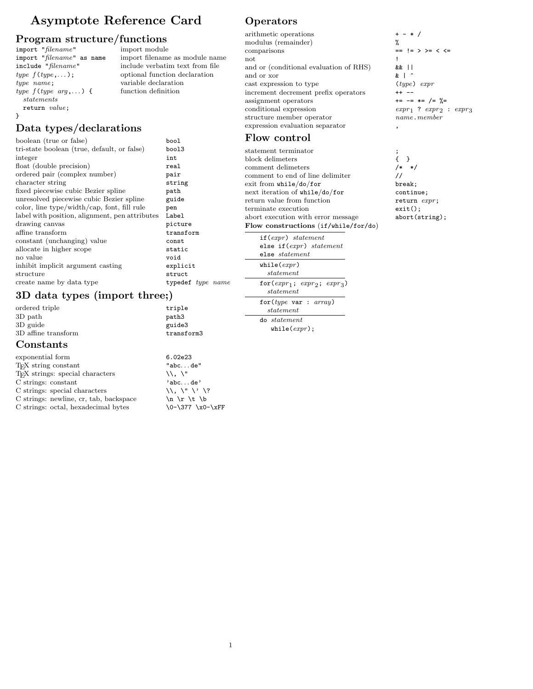## Asymptote Reference Card

import filename as module name

variable declaration<br>function definition

# **Program structure/functions**<br>
import "filename" import module

 $import "filename"$ <br> $import "filename"$  as name include "filename" include verbatim text from file type  $f(type,...)$ ; optional function declaration<br>type name; variable declaration type  $f(type arg, ...)$ statements return value; }

## Data types/declarations

| boolean (true or false)                        | bool              |
|------------------------------------------------|-------------------|
| tri-state boolean (true, default, or false)    | bool3             |
| integer                                        | int               |
| float (double precision)                       | real              |
| ordered pair (complex number)                  | pair              |
| character string                               | string            |
| fixed piecewise cubic Bezier spline            | path              |
| unresolved piecewise cubic Bezier spline       | guide             |
| color, line type/width/cap, font, fill rule    | pen               |
| label with position, alignment, pen attributes | Label             |
| drawing canvas                                 | picture           |
| affine transform                               | transform         |
| constant (unchanging) value                    | const             |
| allocate in higher scope                       | static            |
| no value                                       | void              |
| inhibit implicit argument casting              | explicit          |
| structure                                      | struct            |
| create name by data type                       | typedef type name |
|                                                |                   |

## 3D data types (import three;)

ordered triple triple triple 3D path paths paths paths paths paths paths in the paths of the paths of the paths of the paths of the paths of the paths of the paths of the paths of the paths of the paths of the paths of the paths of the paths of the pa 3D guide<br>3D affine transform<br>3D affine transform<br>transform 3D affine transform

#### Constants

| exponential form                             | 6.02e23                                                                       |
|----------------------------------------------|-------------------------------------------------------------------------------|
| T <sub>F</sub> X string constant             | "abcde"                                                                       |
| T <sub>F</sub> X strings: special characters | $\mathcal{N}$ . $\mathcal{N}$                                                 |
| C strings: constant                          | 'abcde'                                                                       |
| C strings: special characters                | $\langle \langle \cdot, \cdot \rangle \rangle$ $\langle \cdot, \cdot \rangle$ |
| C strings: newline, cr, tab, backspace       | $\ln \lvert \rvert$ $\lvert$ $\lvert$ $\lvert$                                |
| C strings: octal, hexadecimal bytes          | \0-\377 \x0-\xFF                                                              |
|                                              |                                                                               |

## **Operators**

arithmetic operations + - \* / modulus (remainder)  $\%$ <br>comparisons = not and  $\overline{\phantom{a}}$  . The set of  $\overline{\phantom{a}}$  is a set of  $\overline{\phantom{a}}$  is a set of  $\overline{\phantom{a}}$  is a set of  $\overline{\phantom{a}}$  is a set of  $\overline{\phantom{a}}$  is a set of  $\overline{\phantom{a}}$  is a set of  $\overline{\phantom{a}}$  is a set of  $\overline{\phantom{a}}$  is a set and or (conditional evaluation of RHS) && || and or xor  $\mathbf{k}$  | ^ cast expression to type (type) expr increment decrement prefix operators  $\longrightarrow$ assignment operators  $\qquad \qquad \leftarrow \qquad \qquad \leftarrow \qquad \leftarrow \qquad \left/ = \quad \right/ = \left/ \left/ \right| \right.$ conditional expression expression expression expression expression expression expression expression expression expression expression expression expression expression expression expression expression expression expression structure member operator expression evaluation separator

### Flow control

statement terminator  $\qquad \qquad ;$  block delimeters  $\qquad \qquad \{ \quad \}$ block delimeters  $\{ \}$ <br>comment delimeters  $\{ * \}$ comment delimeters comment to end of line delimiter  $\frac{1}{\sqrt{2}}$ <br>exit from while/do/for break; exit from while/do/for next iteration of while/do/for continue;<br>return value from function  $r = 0$  return expr; return value from function terminate execution exit(); abort execution with error message  $\qquad \qquad \text{abort}(\text{string})$ ; Flow constructions (if/while/for/do)

if(expr) statement else if(expr) statement else statement  $while(exp)$  $statement$ for $(exp_1; exp_2; exp_3)$ statement for(type var : array) statement do statement while( $expr$ );

==  $!=$  > >= < <=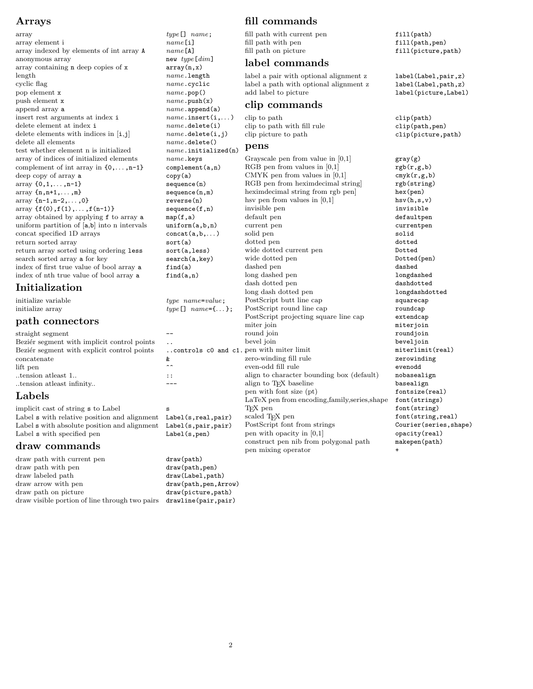#### Arrays

```
array type[] name;
array element i name [i]<br>array indexed by elements of int array A name [A]
array indexed by elements of int array A
anonymous array new type[dim]array containing n deep copies of x array(n, x)
length nameu.length
cyclic flag name.cyclic flag name.cyclic pop element x name .pop ()
pop element x
push element x name.\text{push}(x)<br>append array a name.\text{append}(x)insert rest arguments at index i name.insert(i,. . . )
delete element at index i name.delete(i)<br>delete elements with indices in [i,j] name.delete(i,j)
delete elements with indices in [i,j] name.delete(i,j) name.delete()
delete all elements
test whether element n is initialized name.in<br>array of indices of initialized elements name.ke
array of indices of initialized elements
complement of int array in \{0,\ldots,n-1\} complem
deep copy of array a copy(a)
\begin{array}{c} \text{array} \{0,1,\ldots,n-1\} \end{array} sequence
\begin{array}{ll}\n\text{array} & \text{if } n, n+1, \ldots, m\} \\
\text{array} & \text{if } n-1, n-2, \ldots, 0\n\end{array}array {n-1, n-2, \ldots, 0}array \{f(0), f(1), \ldots, f(n-1)\} sequence
array obtained by applying f to array a map(f, a uniform partition of [a,b] into n intervals uniform
uniform partition of [a,b] into n intervals
concat specified 1D arrays concat(a,b,.. . )
return sorted array sort(a)<br>return array sorted using ordering less sort(a,
return array sorted using ordering less
search sorted array a for key search(<br>index of first true value of bool array a find(a)
index of first true value of bool array a
index of nth true value of bool array a find(a,
```
## Initialization

|                     |                        | tong dasir dotted pen                 |
|---------------------|------------------------|---------------------------------------|
| initialize variable | $type\_name = value$ ; | PostScript butt line cap              |
| initialize array    | $type[]$ name={};      | PostScript round line cap             |
|                     |                        | PostScript projecting square line cap |

 $name.append(a)$ <br>name.insert(i,...)

#### path connectors

| straight segment                             |                          |   |
|----------------------------------------------|--------------------------|---|
| Bezier segment with implicit control points  |                          |   |
| Bezier segment with explicit control points  | controls $c0$ and $c1.1$ |   |
| concatenate                                  | &.                       | 2 |
| lift pen                                     |                          | € |
| tension at least 1                           | $\colon$ :               | έ |
| tension at least infinity                    |                          | έ |
| Labels                                       |                          | I |
| implicit cast of string s to Label           | s                        |   |
| Label s with relative position and alignment | Label(s, real, pair)     | S |
| Label s with absolute position and alignment | Label(s, pair, pair)     | ı |
| Label s with specified pen                   | Label(s, pen)            |   |
|                                              |                          |   |

#### draw commands

| draw path with current pen                     | draw(path)             |
|------------------------------------------------|------------------------|
| draw path with pen                             | draw(path, pen)        |
| draw labeled path                              | draw(Label, path)      |
| draw arrow with pen                            | draw(path, pen, Arrow) |
| draw path on picture                           | draw(picture, path)    |
| draw visible portion of line through two pairs | drawline(pair, pair)   |

## fill commands

fill path with current pen fill(path)<br>fill path with pen fill(path,pen) fill path with pen  $\text{fill path}$  on picture

#### label commands

label a pair with optional alignment z label(Label,pair,z) label a path with optional alignment z label(Label,path,z) add label to picture .Label

#### clip commands

clip to path clip(path) clip to path with fill rule clip(path,pen) clip picture to path clip(picture,path)

#### pens

| nıtıalızed(n <i>)</i> |                                                |                  |
|-----------------------|------------------------------------------------|------------------|
| eys                   | Grayscale pen from value in $ 0,1 $            | gray(g)          |
| ent(a,n)              | RGB pen from values in $[0,1]$                 | rgb(r,g          |
|                       | CMYK pen from values in $[0,1]$                | $\text{cmyk}(r,$ |
| e(n)                  | RGB pen from heximdecimal string               | rgb(str          |
| e(n,m)                | heximdecimal string from rgb pen               | hex(pen          |
| (n)                   | hsy pen from values in $[0,1]$                 | hsv(h,s)         |
| e(f, n)               | invisible pen                                  | invisib          |
| C                     | default pen                                    | default          |
| (a, b, n)             | current pen                                    | current          |
| a,b,)                 | solid pen                                      | solid            |
|                       | dotted pen                                     | dotted           |
| less)                 | wide dotted current pen                        | Dotted           |
| a,key)                | wide dotted pen                                | Dotted(          |
|                       | dashed pen                                     | dashed           |
| n)                    | long dashed pen                                | longdas          |
|                       | dash dotted pen                                | dashdot          |
|                       | long dash dotted pen                           | longdas          |
| $\emph{me-value}$ ;   | PostScript butt line cap                       | squarec          |
| $name = \{\dots\}$ ;  | PostScript round line cap                      | roundca          |
|                       | PostScript projecting square line cap          | extendc          |
|                       | miter join                                     | miterjo          |
|                       | round join                                     | roundjo          |
|                       | bevel join                                     | beveljo          |
|                       | ols c0 and c1. pen with miter limit            | miterli          |
|                       | zero-winding fill rule                         | zerowin          |
|                       | even-odd fill rule                             | evenodd          |
|                       | align to character bounding box (default)      | nobasea          |
|                       | align to T <sub>F</sub> X baseline             | baseali          |
|                       | pen with font size (pt)                        | fontsiz          |
|                       | LaTeX pen from encoding, family, series, shape | font(st          |
|                       | T <sub>F</sub> X pen                           | font (st         |
| , real, pair)         | scaled TFX pen                                 | font(st          |
| , pair, pair)         | PostScript font from strings                   | Courier          |
| , pen)                | pen with opacity in $[0,1]$                    | opacity          |
|                       | construct pen nib from polygonal path          | makepen          |
|                       | pen mixing operator                            | $\ddot{}$        |

fill(picture,path)

label (picture,Label)

 $gray(g)$  $rgb(r,g,b)$  $\text{cmyk}(r,g,b)$ rgb(string) hex(pen) hsv $(h,s,v)$ invisible defaultpen currentpen<br>solid Dotted Dotted(pen) dashed longdashed dashdotted longdashdotted squarecap roundcap extendcap miter join miterjoin roundjoin bevel join beveljoin  $m$ iterlimit(real) zerowinding nobasealign basealign  $fontsize$ (real) font(strings)  $font(String)$ font(string,real) Courier(series,shape) opacity(real) makepen(path)